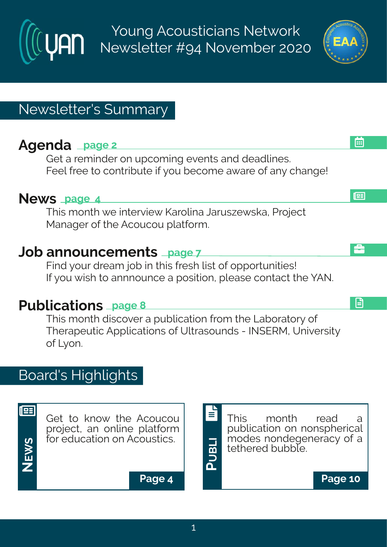Young Acousticians Network Newsletter #94 November 2020



l⊞

画

å

旧

# Newsletter's Summary

# **Agenda page 2**

Get a reminder on upcoming events and deadlines. Feel free to contribute if you become aware of any change!

### **News page 4**

This month we interview Karolina Jaruszewska, Project Manager of the Acoucou platform.

### **Job announcements page 7**

Find your dream job in this fresh list of opportunities! If you wish to annnounce a position, please contact the YAN.

# **Publications page 8**

This month discover a publication from the Laboratory of Therapeutic Applications of Ultrasounds - INSERM, University of Lyon.

# Board's Highlights



Get to know the Acoucou project, an online platform for education on Acoustics.

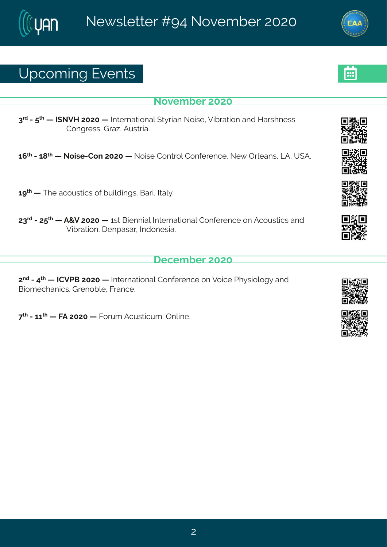## Yt gsq mk#zi r xw

#### Sszigfiw#575

8<sup>th</sup> #2# <sup>x|</sup> #0 #N SZM#7575#6 #N xi vrexmsrep# x} vner#Ssmwi #27ml vexmsr#erh#Mewl riww# Hsrkviwstue-#Fywwne3

6;  $\frac{\cancel{100}}{200}$  # 45 # 5 & 5 m  $\cancel{100}$  # 575 #  $\cancel{100}$  #  $\cancel{100}$  #  $\cancel{100}$  +  $\cancel{100}$   $\cancel{100}$  +  $\cancel{100}$  er w #  $\cancel{100}$  +  $\cancel{100}$  +  $\cancel{100}$  +  $\cancel{100}$  +  $\cancel{100}$  +  $\cancel{100}$  +  $\cancel{100}$  +  $\cancel{100}$ 

 $6$   $>^{\prime\prime}$  #6 #XI i #egsyw mag w#s j# y ndn nnk w $$$ Gevn#Nep 3

78<sup>th</sup> #247: <sup>x</sup> #6 #F+Z#7575#6 #6 w #Gmirrmep#N xi vrexmsrep#Hsrjivirgi#sr#Fgsyw mg w#erh# Zm/vexmsr3# irtewev#hthsriwme3

 $q$ i q f i  $\sqrt{7575}$ 

7<sup>rh</sup>#2#9<sup>x|</sup>#6 #HHZUG#7575#6 #Nixi vrexmsrep#Hsrji vi rgi#sr#Zsmgi#Ul}wmspsk}#erh# Grsq i gler rom woot virsf pitKwer gi 3#

<< # # 2#66 \* # 6 # KF # 7575 # \$ # K s w a # F a v w x a w a \$ # r pm i 3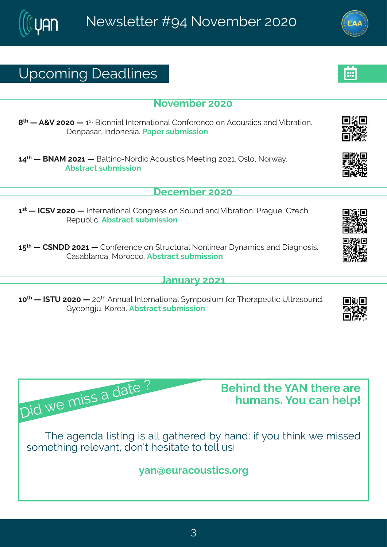# Yt gsq mk# i ehpni w

Sszigfi#575

= \* #6 #F+Z#7575#6 #6 \*\*#Gmirrmep#hlxivrexmsrep#Hsrjivirgi#sr#Fgsywxngw#erh#Zmívexmsr3# lirtewev#Mrhsriwme3#Jetiv#wfqmwnsr#

69<sup>xl</sup> #6 #GSFR#7576#6 #Gepxmg2Ssvhn**g#Fgsywxngw#Riixmk#75763#Twps1#Ssv{e}3** Ff wwegx#w f g mwnsn

i gi q f i v#575

6 \*\* \$ # \\\\l Z#7575#6 # Noxi vrexmsrep# Hsrkviww#sr#svrh#erh#Zmfvexmsr3# Jvekvi# H~i al# Wit yf pro 3Ff wwe gx#w f g mwnsn

Hewef per get R s vs ggs 3Ff wwegx#w f q mwnsn

**Cervey #576** 

65<sup>xl</sup> #6 #N|XY#7575#6 #75<sup>x|</sup>#Frryep#Ntxivrexmsrep#{}qtswmyq#|sv#Xlivetiyxmg#Ypxvewsyrh3# L}isrknv #Psvie 3Ff wwegx#wyfq mwnsr

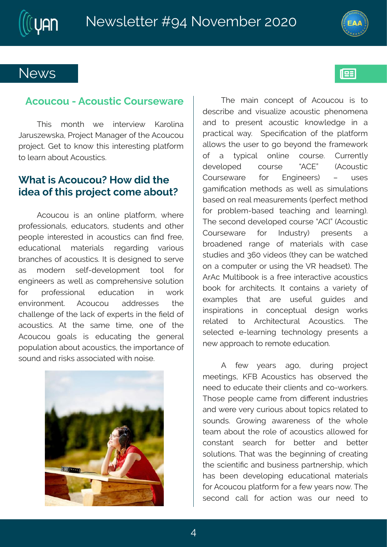



193

### **News**

#### **Acoucou - Acoustic Courseware**

This month we interview Karolina Jaruszewska, Project Manager of the Acoucou project. Get to know this interesting platform to learn about Acoustics.

### **What is Acoucou? How did the idea of this project come about?**

Acoucou is an online platform, where professionals, educators, students and other people interested in acoustics can find free, educational materials regarding various branches of acoustics. It is designed to serve as modern self-development tool for engineers as well as comprehensive solution for professional education in work environment. Acoucou addresses the challenge of the lack of experts in the field of acoustics. At the same time, one of the Acoucou goals is educating the general population about acoustics, the importance of sound and risks associated with noise.



The main concept of Acoucou is to describe and visualize acoustic phenomena and to present acoustic knowledge in a practical way. Specification of the platform allows the user to go beyond the framework of a typical online course. Currently developed course "ACE" (Acoustic Courseware for Engineers) – uses gamification methods as well as simulations based on real measurements (perfect method for problem-based teaching and learning). The second developed course "ACI" (Acoustic Courseware for Industry) presents a broadened range of materials with case studies and 360 videos (they can be watched on a computer or using the VR headset). The ArAc Multibook is a free interactive acoustics book for architects. It contains a variety of examples that are useful guides and inspirations in conceptual design works related to Architectural Acoustics. The selected e-learning technology presents a new approach to remote education.

A few years ago, during project meetings, KFB Acoustics has observed the need to educate their clients and co-workers. Those people came from different industries and were very curious about topics related to sounds. Growing awareness of the whole team about the role of acoustics allowed for constant search for better and better solutions. That was the beginning of creating the scientific and business partnership, which has been developing educational materials for Acoucou platform for a few years now. The second call for action was our need to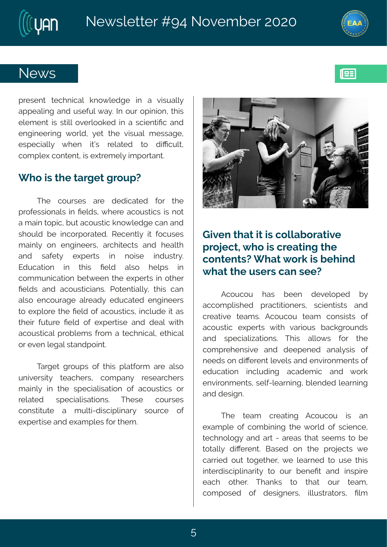

193

### **News**

present technical knowledge in a visually appealing and useful way. In our opinion, this element is still overlooked in a scientific and engineering world, yet the visual message, especially when it's related to difficult, complex content, is extremely important.

### **Who is the target group?**

The courses are dedicated for the professionals in fields, where acoustics is not a main topic, but acoustic knowledge can and should be incorporated. Recently it focuses mainly on engineers, architects and health and safety experts in noise industry. Education in this field also helps in communication between the experts in other fields and acousticians. Potentially, this can also encourage already educated engineers to explore the field of acoustics, include it as their future field of expertise and deal with acoustical problems from a technical, ethical or even legal standpoint.

Target groups of this platform are also university teachers, company researchers mainly in the specialisation of acoustics or related specialisations. These courses constitute a multi-disciplinary source of expertise and examples for them.



### **Given that it is collaborative project, who is creating the contents? What work is behind what the users can see?**

Acoucou has been developed by accomplished practitioners, scientists and creative teams. Acoucou team consists of acoustic experts with various backgrounds and specializations. This allows for the comprehensive and deepened analysis of needs on different levels and environments of education including academic and work environments, self-learning, blended learning and design.

The team creating Acoucou is an example of combining the world of science, technology and art - areas that seems to be totally different. Based on the projects we carried out together, we learned to use this interdisciplinarity to our benefit and inspire each other. Thanks to that our team, composed of designers, illustrators, film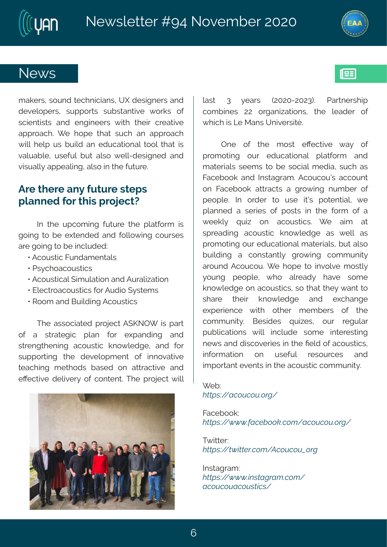## Si { w

q eo i www.tws.yrhttwiglrmg.merw/#Y\tthiwnkariww.terh# hizipsti w#wyttsww#wyfwerxmzi#{svow#sj# wgmir xwww.#erh#irkmiiw#{mxl#xlim#gviexnzi# et t vseql  $\frac{24}{31}$  i #l st i #xl ex#wygl #er #et t vseql # { month int #y w#f y mdn#er#i hygexmsrep#xssp#xlex#mw# zepyef pi 1#ywijyp#fyx#epws#{ipp2hiwnkarih#erh# zmwyepo}#et t i epmk #epns#m#d i #yxyvi 3

#### F vi# divi# er }# v x v vi# w it w # t per rih#sv#d mw# vsnigxD

Not #xli#ytosq nnk#jyxyvi#xli#toexisyq#nw# ksmk#s#fi#lxirhih#erh#jspps{mk#gsywiw# evi#ksmk#s#i#ngpyhih?

y#Fgsywmog#Kyrheq irxepw **VALW** al seasy wag w# y #Fgsywngep# not y pexms r#er h#Fy vepmexms r γ#Jpigxvsegsywmogw#sv#Fyhnsn#}wwiq w ý#Vssq#erh#Gymohmnk#Fgsywwmgw

XI i #ewwsgreaxi h#t vsnigx#F (PST[#mw#t evx# si# e# www.exiknog# tper# jsv# i|terhmk# erh# www.irk.xlirm.k#eqsywmoq#ors{pihki#erh#jsw# wyttswmk#xli#hizipstqirx#sj#mnrszexmzi# xieglmk#gixlshw#fewih#sr#exwegxmzi#erh# i Zigxnzni#hipozniv}#sj#gsrxirx\$#Xli#tvsnigx#{mpo# pew# 8# }iew# -757527578.3# Uewriw tn# asa f miw#77# swker mexosr w# xli# pjehiw# si# { I rg I #w#Q #R er w#Y r nzi www.03

 $Tri # sj# X i # q sw# i Zi qxzi # { e} # sj#$ t vsg sxmk#syv#ihygexmsrep#t pexjsvg #erh# q exi vrepv#wi i q w#xs#f i #ws.grep#q i href#wy.gl #ew# Kegif sso#erh#Ntwwekveg 3#Fgsygsyön#eggsyrx# sr#Kegifsso#exxegxw#e#kvs{ mk#rygfiv#sj# tistpi3#Nt#svhiv#xs#ywi#nxnöw#tsxirxnep0#{i# t per rih #e#wi vmiw#sj#t swww#mn#xli#jsvq#sj#e#  $\{ i i o \beta \# u y r r \# s r \# e g s y w r g w \# \} i \# e r g \# e x \#$ wt viehm k#eqsywxmo#ors{ pihki#ew#{ipo#ew# t vsg sxnnk#syv# hygexmsrep#q exivment w#epws# f ymdnm k #e #g srw verx $\phi$  #k vs { m k #g sq q y r m }# evsyrh#Fgsygsy3# i#lsti#xs#mnzspzi#qswxp}# } syrk#tistpi#{ls#epvieh}#lezi#wsqi# ors{ pihki#sr#egsywmogw#ws# Nex#Ni}#{ erx#s# whe it  $\#$  ximuth or s{ pihki# erh# i|glerki# iltivmingi#{mal#sxliv#qiqfivw#sj#xli# gsqqvrnx) 3# Giwmhiw# uym-iw# syv# vikypev# tyf projexnsrw#{ mpo# mngpyhi#wsq i# mnxiviwxmnk# ri{ w#erh#nmgszi vmiw#m#kli#[iph#sj#egsywxngw#  $m$  js vq extent # sr# y wijy  $\frac{1}{2}$  wij wsy vqi w# erh# mot swerx#zirxw#n#vli#egsywmog#gsqqyrmx}3

 $I$  if ?  $Z@34$ <sup>x</sup> Ñi ‡ãï ‡ã $@1O$ 

Kegi f sso? ZÒO 34 ppp@Ni % at the tw<sup>"</sup> Ni taï ta o<sup>1</sup>O

 $X\{$  now  $\sqrt{?}$  $Z@94\widetilde{*}$   $\phi$   $@940 \text{tw}$   $"$   $"$   $"$   $#3i$   $#3i$   $#1O$ 

N wekved? ZÒÒG<sup>3</sup>4 ppp@<sup>3</sup>AÑOÑw©‡w Ñi ‡ãi ‡ãÑi ‡ã¾ ¾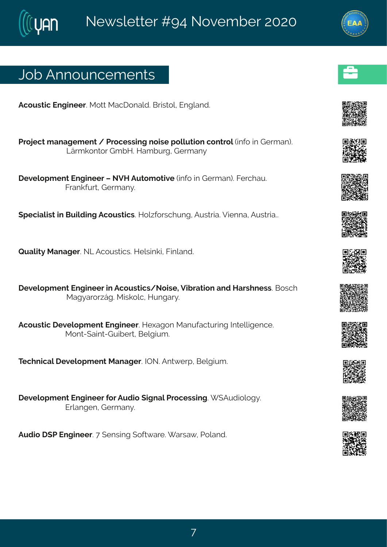# Osf#Frrsyrgiqirxw

```
Fasvwora# rkmijv3AR sxx4R ealsreph3AGwww.sp1# rkperh3
##Uvsnigx#q erek iq ir x#4 #Uvsgiwwm k # smvi # sppy xmsr#gsrxvsp#m js#m # Livq er. 3#
             Q vq os r xs v# q f M3#Meq f y vk # i vq er }
##lizipstqirx#Jrkmiiv#of#SZM#Fyxsqsxmzi#mnjs#mn#Livqer.3#Kivgley3
            Kver ojy w#Livger } 3
#
(tigrapmw#n#Gymphmk#Fgsywxmgw&Msp-jsw.glyrk1#Fyww.me32Zmirre1#Fyww.me33
#Vyepno) #Rerekiv3#SQ#Fgsywwogw3#Mipwnnom#Kmperh3#
##lizipst girx#lrkmiiw#n#Fqsywxmgw4Ssmwi1#Zmfvexmsr#erh#Mewlriww3#Gswgl#
             Rek} evs v\simËk 3R mos pg \sharp Myr kev} 3
#Fgsyworg# izipstq ir x#Jrkm iiv 3Mileksr#Reryjegxywm k#N xippnkirgi3
            R sr x2(emx2L ymfi wx#Gi pk myq 3#
XigIrmgep#lizipstqirx#Rerekiv3#NTS3#Frx{ivt1#Gipkmyq3#
#lizipstqirx#Jrkmiiv#sv#Fyhms#,mkrep#Uvsgiwwm.k3# (Fyhmspsk}3
            Jyperkir #Livq er } 3
```
Fyhns# (U#Jrkmii√3##irwnnk#sjx{evi3#ewe{1#Jsperh3